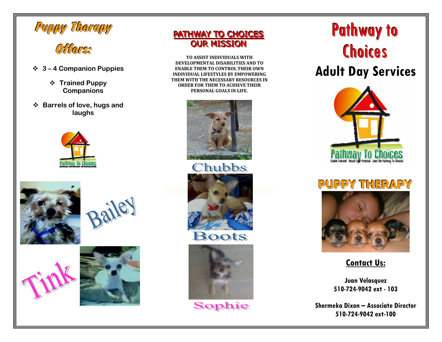

# **Offers:**

- **3 4 Companion Puppies** 
	- **Trained Puppy→**<br>Companions **Companions**
- **Barrels of love, hugs and** <br>**Raighs laughs**









### PATHWAY TO CHOICES <mark>OUR MISSION</mark>

**TO ASSIST INDIVIDUALS WITH DEVELOPMENTAL DISABILITIES AND TO ENABLE THEM TO CONTROL THEIR OWN INDIVIDUAL LIFESTYLES BY EMPOWERING THEM WITH THE NECESSARY RESOURCES IN ORDER FOR THEM TO ACHIEVE THEIR PERSONAL GOALS IN LIFE.**



Chubbs "Boots" **Souhaine Strategy** Boots



Sophie

# **Pathway to** Choices

## **Adult Day Services**



# **PUPPY THERAPY**



**Contact Us:**

**Juan Velasquez 510-724-9042 ext - 103** 

**Shermeka Dixon – Associate Director 510-724-9042 ext-100**